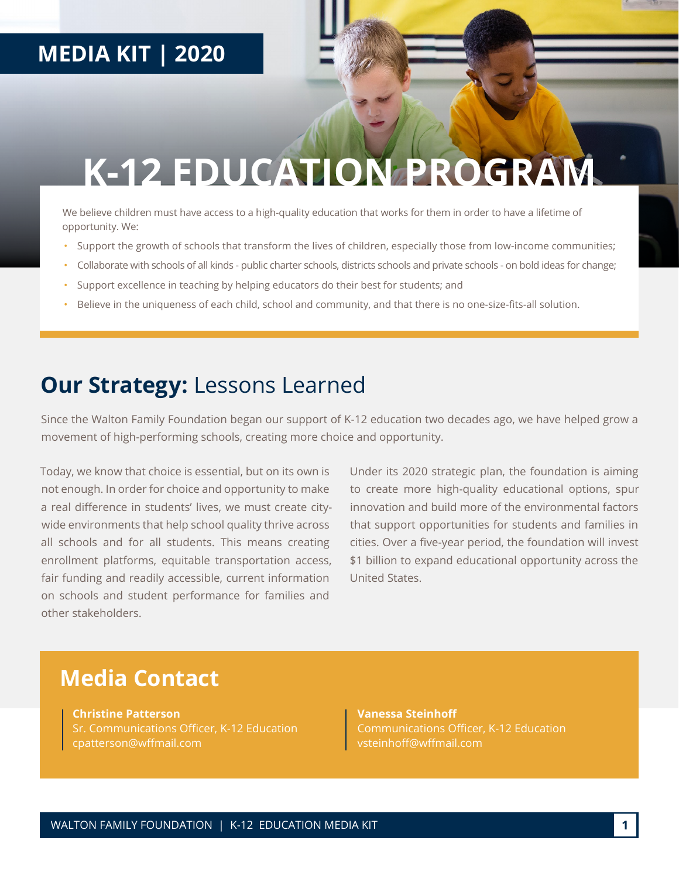### **MEDIA KIT | 2020**

# **K-12 EDUCATION PROGRAM**

We believe children must have access to a high-quality education that works for them in order to have a lifetime of opportunity. We:

- Support the growth of schools that transform the lives of children, especially those from low-income communities;
- Collaborate with schools of all kinds public charter schools, districts schools and private schools on bold ideas for change;
- Support excellence in teaching by helping educators do their best for students; and
- Believe in the uniqueness of each child, school and community, and that there is no one-size-fits-all solution.

### **Our Strategy: Lessons Learned**

Since the Walton Family Foundation began our support of K-12 education two decades ago, we have helped grow a movement of high-performing schools, creating more choice and opportunity.

Today, we know that choice is essential, but on its own is not enough. In order for choice and opportunity to make a real difference in students' lives, we must create citywide environments that help school quality thrive across all schools and for all students. This means creating enrollment platforms, equitable transportation access, fair funding and readily accessible, current information on schools and student performance for families and other stakeholders.

Under its 2020 strategic plan, the foundation is aiming to create more high-quality educational options, spur innovation and build more of the environmental factors that support opportunities for students and families in cities. Over a five-year period, the foundation will invest \$1 billion to expand educational opportunity across the United States.

### **Media Contact**

**Christine Patterson** Sr. Communications Officer, K-12 Education cpatterson@wffmail.com

**Vanessa Steinhoff** Communications Officer, K-12 Education vsteinhoff@wffmail.com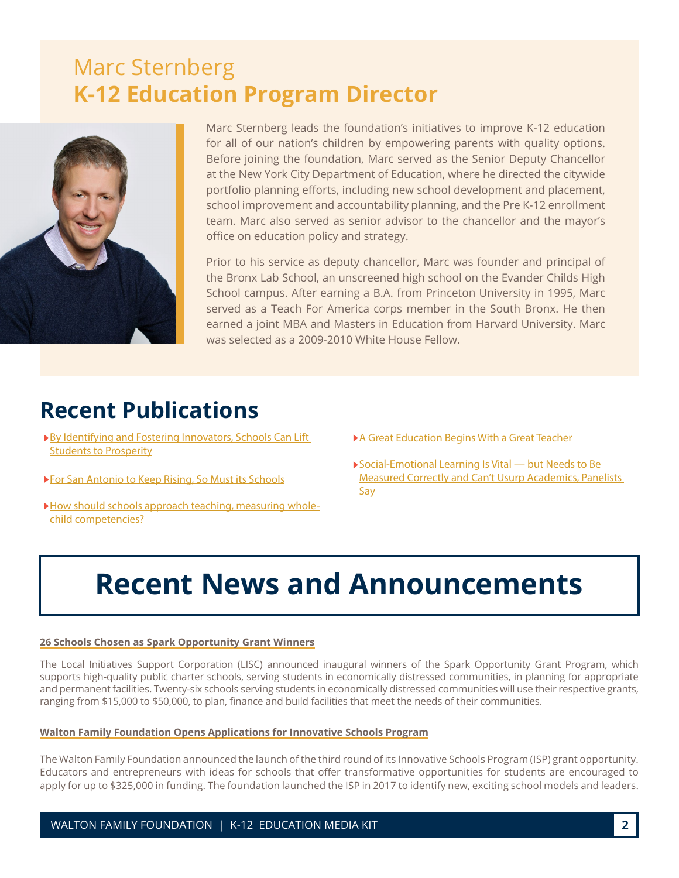### Marc Sternberg **K-12 Education Program Director**



Marc Sternberg leads the foundation's initiatives to improve K-12 education for all of our nation's children by empowering parents with quality options. Before joining the foundation, Marc served as the Senior Deputy Chancellor at the New York City Department of Education, where he directed the citywide portfolio planning efforts, including new school development and placement, school improvement and accountability planning, and the Pre K-12 enrollment team. Marc also served as senior advisor to the chancellor and the mayor's office on education policy and strategy.

Prior to his service as deputy chancellor, Marc was founder and principal of the Bronx Lab School, an unscreened high school on the Evander Childs High School campus. After earning a B.A. from Princeton University in 1995, Marc served as a Teach For America corps member in the South Bronx. He then earned a joint MBA and Masters in Education from Harvard University. Marc was selected as a 2009-2010 White House Fellow.

### **Recent Publications**

- **By Identifying and Fostering Innovators, Schools Can Lift** [Students to Prosperity](https://www.waltonfamilyfoundation.org/stories/k-12-education/by-identifying-and-fostering-innovators-schools-can-lift-students-to-prosperity)
- [For San Antonio to Keep Rising, So Must its Schools](https://www.waltonfamilyfoundation.org/stories/k-12-education/for-san-antonio-to-keep-rising-so-must-its-schools)
- [How should schools approach teaching, measuring whole](https://www.educationdive.com/news/how-should-schools-approach-teaching-measuring-whole-child-competencies/552757/)[child competencies?](https://www.educationdive.com/news/how-should-schools-approach-teaching-measuring-whole-child-competencies/552757/)
- [A Great Education Begins With a Great Teacher](https://www.nytimes.com/paidpost/walton-family-foundation/walton-family-foundation-ad-post/a-great-education-begins-with-a-great-teacher.html)
- ▶ Social-Emotional Learning Is Vital but Needs to Be [Measured Correctly and Can't Usurp Academics, Panelists](https://www.the74million.org/article/social-emotional-learning-is-vital-but-needs-to-be-measured-correctly-and-cant-usurp-academics-panelists-say/)  [Say](https://www.the74million.org/article/social-emotional-learning-is-vital-but-needs-to-be-measured-correctly-and-cant-usurp-academics-panelists-say/)

## **Recent News and Announcements**

#### **[26 Schools Chosen as Spark Opportunity Grant Winners](https://www.waltonfamilyfoundation.org/about-us/newsroom/26-schools-chosen-as-spark-opportunity-grant-winners)**

The Local Initiatives Support Corporation (LISC) announced inaugural winners of the Spark Opportunity Grant Program, which supports high-quality public charter schools, serving students in economically distressed communities, in planning for appropriate and permanent facilities. Twenty-six schools serving students in economically distressed communities will use their respective grants, ranging from \$15,000 to \$50,000, to plan, finance and build facilities that meet the needs of their communities.

#### **[Walton Family Foundation Opens Applications for Innovative Schools Program](https://www.waltonfamilyfoundation.org/about-us/newsroom/walton-family-foundation-opens-applications-for-innovative-schools-program)**

The Walton Family Foundation announced the launch of the third round of its Innovative Schools Program (ISP) grant opportunity. Educators and entrepreneurs with ideas for schools that offer transformative opportunities for students are encouraged to apply for up to \$325,000 in funding. The foundation launched the ISP in 2017 to identify new, exciting school models and leaders.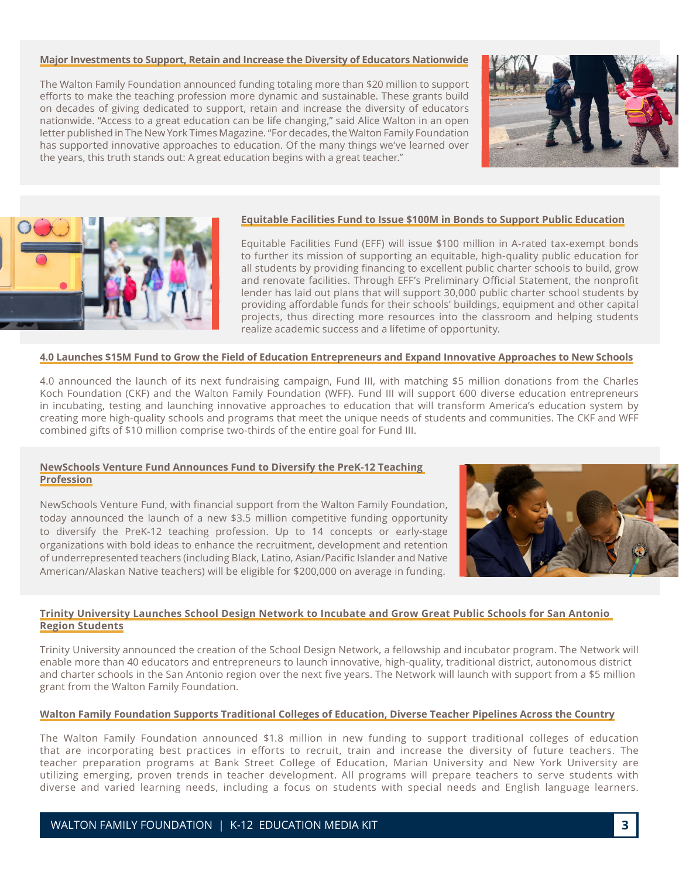#### **[Major Investments to Support, Retain and Increase the Diversity of Educators Nationwide](https://www.waltonfamilyfoundation.org/about-us/newsroom/major-investments-to-support-retain-and-increase-the-diversity-of-educators-nationwide)**

The Walton Family Foundation announced funding totaling more than \$20 million to support efforts to make the teaching profession more dynamic and sustainable. These grants build on decades of giving dedicated to support, retain and increase the diversity of educators nationwide. "Access to a great education can be life changing," said Alice Walton in an open letter published in The New York Times Magazine. "For decades, the Walton Family Foundation has supported innovative approaches to education. Of the many things we've learned over the years, this truth stands out: A great education begins with a great teacher."





#### **[Equitable Facilities Fund to Issue \\$100M in Bonds to Support Public Education](https://www.waltonfamilyfoundation.org/about-us/newsroom/equitable-facilities-fund-to-issue-100m-in-bonds-to-support-public-education)**

Equitable Facilities Fund (EFF) will issue \$100 million in A-rated tax-exempt bonds to further its mission of supporting an equitable, high-quality public education for all students by providing financing to excellent public charter schools to build, grow and renovate facilities. Through EFF's Preliminary Official Statement, the nonprofit lender has laid out plans that will support 30,000 public charter school students by providing affordable funds for their schools' buildings, equipment and other capital projects, thus directing more resources into the classroom and helping students realize academic success and a lifetime of opportunity.

#### **[4.0 Launches \\$15M Fund to Grow the Field of Education Entrepreneurs and Expand Innovative Approaches to New Schools](https://www.waltonfamilyfoundation.org/about-us/newsroom/4-0-launches-15m-fund-to-grow-the-field-of-education-entrepreneurs-and-expand-innovative-approaches-to-new-schools)**

4.0 announced the launch of its next fundraising campaign, Fund III, with matching \$5 million donations from the Charles Koch Foundation (CKF) and the Walton Family Foundation (WFF). Fund III will support 600 diverse education entrepreneurs in incubating, testing and launching innovative approaches to education that will transform America's education system by creating more high-quality schools and programs that meet the unique needs of students and communities. The CKF and WFF combined gifts of \$10 million comprise two-thirds of the entire goal for Fund III.

#### **[NewSchools Venture Fund Announces Fund to Diversify the PreK-12 Teaching](https://www.waltonfamilyfoundation.org/about-us/newsroom/newschools-venture-fund-announces-funding-to-diversify-the-prek-12-teaching-profession)  [Profession](https://www.waltonfamilyfoundation.org/about-us/newsroom/newschools-venture-fund-announces-funding-to-diversify-the-prek-12-teaching-profession)**

NewSchools Venture Fund, with financial support from the Walton Family Foundation, today announced the launch of a new \$3.5 million competitive funding opportunity to diversify the PreK-12 teaching profession. Up to 14 concepts or early-stage organizations with bold ideas to enhance the recruitment, development and retention of underrepresented teachers (including Black, Latino, Asian/Pacific Islander and Native American/Alaskan Native teachers) will be eligible for \$200,000 on average in funding.



#### **[Trinity University Launches School Design Network to Incubate and Grow Great Public Schools for San Antonio](https://www.waltonfamilyfoundation.org/about-us/newsroom/trinity-university-launches-school-design-network)  [Region Students](https://www.waltonfamilyfoundation.org/about-us/newsroom/trinity-university-launches-school-design-network)**

Trinity University announced the creation of the School Design Network, a fellowship and incubator program. The Network will enable more than 40 educators and entrepreneurs to launch innovative, high-quality, traditional district, autonomous district and charter schools in the San Antonio region over the next five years. The Network will launch with support from a \$5 million grant from the Walton Family Foundation.

#### **[Walton Family Foundation Supports Traditional Colleges of Education, Diverse Teacher Pipelines Across the Country](https://www.waltonfamilyfoundation.org/about-us/newsroom/walton-family-foundation-supports-traditional-colleges-of-education-diverse-teacher-pipelines-across-the-country)**

The Walton Family Foundation announced \$1.8 million in new funding to support traditional colleges of education that are incorporating best practices in efforts to recruit, train and increase the diversity of future teachers. The teacher preparation programs at Bank Street College of Education, Marian University and New York University are utilizing emerging, proven trends in teacher development. All programs will prepare teachers to serve students with diverse and varied learning needs, including a focus on students with special needs and English language learners.